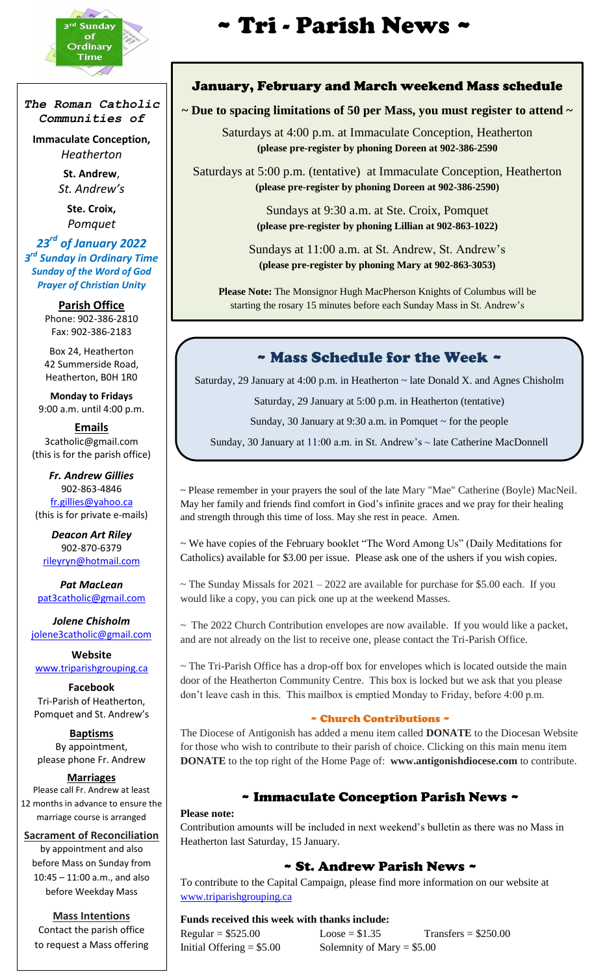

j

*The Roman Catholic Communities of*

**Immaculate Conception,** *Heatherton*

> **St. Andrew**, *St. Andrew's*

**Ste. Croix,** *Pomquet*

*23rd of January 2022 3 rd Sunday in Ordinary Time Sunday of the Word of God Prayer of Christian Unity*

> **Parish Office** Phone: 902-386-2810 Fax: 902-386-2183

> Box 24, Heatherton 42 Summerside Road, Heatherton, B0H 1R0

**Monday to Fridays** 9:00 a.m. until 4:00 p.m.

**Emails** 3catholic@gmail.com (this is for the parish office)

*Fr. Andrew Gillies* 902-863-4846 [fr.gillies@yahoo.ca](mailto:fr.gillies@yahoo.ca) (this is for private e-mails)

*Deacon Art Riley* 902-870-6379 [rileyryn@hotmail.com](mailto:rileyryn@hotmail.com)

*Pat MacLean* [pat3catholic@gmail.com](mailto:rileyryn@hotmail.com)

*Jolene Chisholm* [jolene3catholic@gmail.com](mailto:jolene3catholic@gmail.com)

**Website** [www.triparishgrouping.ca](http://www.triparishgrouping.ca/)

**Facebook** Tri-Parish of Heatherton, Pomquet and St. Andrew's

**Baptisms** By appointment, please phone Fr. Andrew

**Marriages**

Please call Fr. Andrew at least 12 months in advance to ensure the marriage course is arranged

**Sacrament of Reconciliation** by appointment and also before Mass on Sunday from 10:45 – 11:00 a.m., and also before Weekday Mass

**Mass Intentions** Contact the parish office to request a Mass offering

# $\overbrace{\text{Ord}_{\text{boundary}}^{\text{ref}}$

## January, February and March weekend Mass schedule

## **~ Due to spacing limitations of 50 per Mass, you must register to attend ~**

Saturdays at 4:00 p.m. at Immaculate Conception, Heatherton **(please pre-register by phoning Doreen at 902-386-2590**

Saturdays at 5:00 p.m. (tentative) at Immaculate Conception, Heatherton **(please pre-register by phoning Doreen at 902-386-2590)**

> Sundays at 9:30 a.m. at Ste. Croix, Pomquet **(please pre-register by phoning Lillian at 902-863-1022)**

Sundays at 11:00 a.m. at St. Andrew, St. Andrew's **(please pre-register by phoning Mary at 902-863-3053)**

**Please Note:** The Monsignor Hugh MacPherson Knights of Columbus will be starting the rosary 15 minutes before each Sunday Mass in St. Andrew's

## ~ Mass Schedule for the Week ~

Saturday, 29 January at 4:00 p.m. in Heatherton ~ late Donald X. and Agnes Chisholm

Saturday, 29 January at 5:00 p.m. in Heatherton (tentative)

Sunday, 30 January at  $9:30$  a.m. in Pomquet  $\sim$  for the people

Sunday, 30 January at 11:00 a.m. in St. Andrew's ~ late Catherine MacDonnell

~ Please remember in your prayers the soul of the late Mary "Mae" Catherine (Boyle) MacNeil. May her family and friends find comfort in God's infinite graces and we pray for their healing and strength through this time of loss. May she rest in peace. Amen.

~ We have copies of the February booklet "The Word Among Us" (Daily Meditations for Catholics) available for \$3.00 per issue. Please ask one of the ushers if you wish copies.

 $\sim$  The Sunday Missals for 2021 – 2022 are available for purchase for \$5.00 each. If you would like a copy, you can pick one up at the weekend Masses.

 $\sim$  The 2022 Church Contribution envelopes are now available. If you would like a packet, and are not already on the list to receive one, please contact the Tri-Parish Office.

~ The Tri-Parish Office has a drop-off box for envelopes which is located outside the main door of the Heatherton Community Centre. This box is locked but we ask that you please don't leave cash in this. This mailbox is emptied Monday to Friday, before 4:00 p.m.

#### ~ Church Contributions ~

The Diocese of Antigonish has added a menu item called **DONATE** to the Diocesan Website for those who wish to contribute to their parish of choice. Clicking on this main menu item **DONATE** to the top right of the Home Page of: **www.antigonishdiocese.com** to contribute.

## ~ Immaculate Conception Parish News ~

#### **Please note:**

Contribution amounts will be included in next weekend's bulletin as there was no Mass in Heatherton last Saturday, 15 January.

## ~ St. Andrew Parish News ~

To contribute to the Capital Campaign, please find more information on our website at [www.triparishgrouping.ca](http://www.triparishgrouping.ca/)

#### **Funds received this week with thanks include:**

 $Regular = $525.00$   $Loose = $1.35$  Transfers = \$250.00 Initial Offering  $= $5.00$  Solemnity of Mary  $= $5.00$